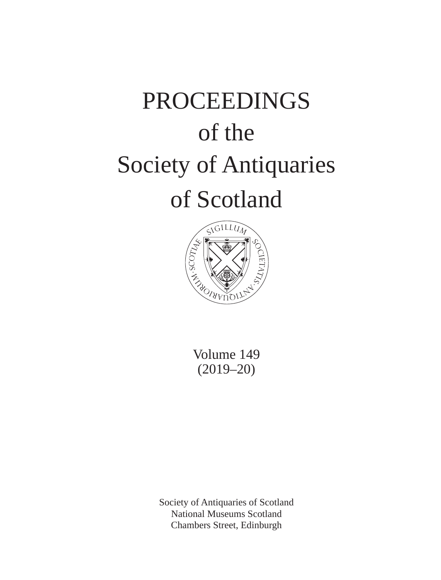# PROCEEDINGS of the Society of Antiquaries of Scotland



Volume 149 (2019–20)

Society of Antiquaries of Scotland National Museums Scotland Chambers Street, Edinburgh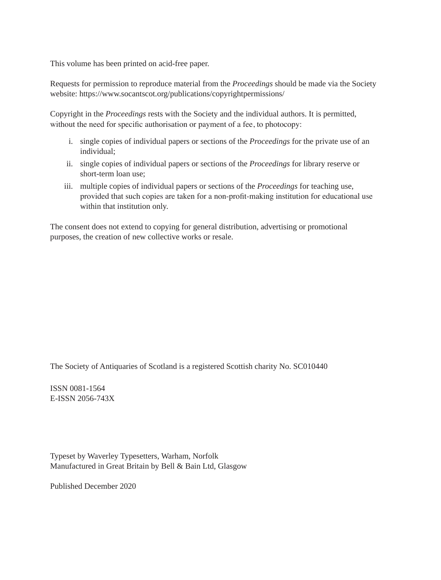This volume has been printed on acid-free paper.

Requests for permission to reproduce material from the *Proceedings* should be made via the Society website: https://www.socantscot.org/publications/copyrightpermissions/

Copyright in the *Proceedings* rests with the Society and the individual authors. It is permitted, without the need for specific authorisation or payment of a fee, to photocopy:

- i. single copies of individual papers or sections of the *Proceedings* for the private use of an individual;
- ii. single copies of individual papers or sections of the *Proceedings* for library reserve or short-term loan use;
- iii. multiple copies of individual papers or sections of the *Proceedings* for teaching use, provided that such copies are taken for a non-profit-making institution for educational use within that institution only.

The consent does not extend to copying for general distribution, advertising or promotional purposes, the creation of new collective works or resale.

The Society of Antiquaries of Scotland is a registered Scottish charity No. SC010440

ISSN 0081-1564 E-ISSN 2056-743X

Typeset by Waverley Typesetters, Warham, Norfolk Manufactured in Great Britain by Bell & Bain Ltd, Glasgow

Published December 2020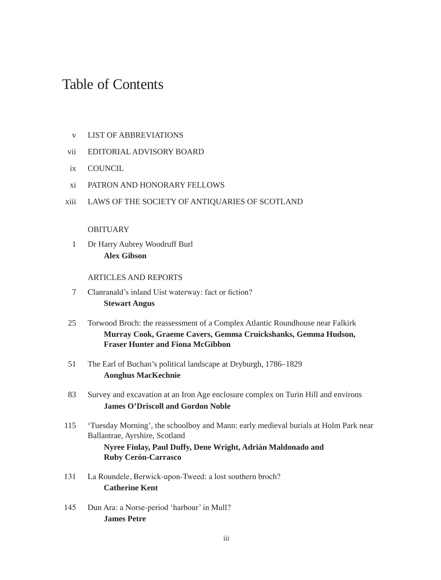## Table of Contents

- v LIST OF ABBREVIATIONS
- vii EDITORIAL ADVISORY BOARD
- ix COUNCIL
- xi PATRON AND HONORARY FELLOWS
- xiii LAWS OF THE SOCIETY OF ANTIQUARIES OF SCOTLAND

#### **OBITUARY**

1 Dr Harry Aubrey Woodruff Burl **Alex Gibson**

### ARTICLES AND REPORTS

- 7 Clanranald's inland Uist waterway: fact or fiction? **Stewart Angus**
- 25 Torwood Broch: the reassessment of a Complex Atlantic Roundhouse near Falkirk **Murray Cook, Graeme Cavers, Gemma Cruickshanks, Gemma Hudson, Fraser Hunter and Fiona McGibbon**
- 51 The Earl of Buchan's political landscape at Dryburgh, 1786–1829 **Aonghus MacKechnie**
- 83 Survey and excavation at an Iron Age enclosure complex on Turin Hill and environs **James O'Driscoll and Gordon Noble**
- 115 'Tuesday Morning', the schoolboy and Mann: early medieval burials at Holm Park near Ballantrae, Ayrshire, Scotland **Nyree Finlay, Paul Duffy, Dene Wright, Adrián Maldonado and Ruby Cerón-Carrasco**
- 131 La Roundele, Berwick-upon-Tweed: a lost southern broch? **Catherine Kent**
- 145 Dun Ara: a Norse-period 'harbour' in Mull? **James Petre**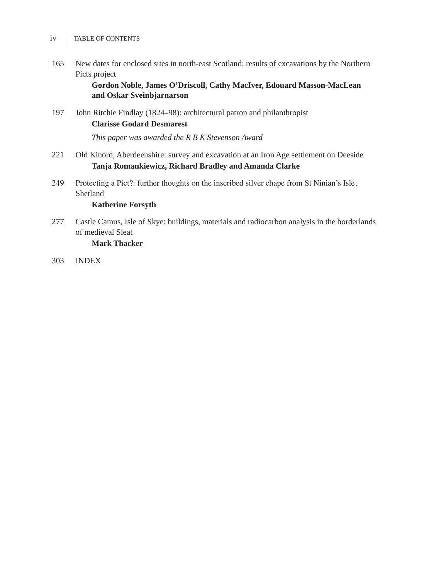- $iv$  | TABLE OF CONTENTS
- 165 New dates for enclosed sites in north-east Scotland: results of excavations by the Northern Picts project

**Gordon Noble, James O'Driscoll, Cathy MacIver, Edouard Masson-MacLean and Oskar Sveinbjarnarson**

197 John Ritchie Findlay (1824–98): architectural patron and philanthropist **Clarisse Godard Desmarest**

*This paper was awarded the R B K Stevenson Award*

- 221 Old Kinord, Aberdeenshire: survey and excavation at an Iron Age settlement on Deeside **Tanja Romankiewicz, Richard Bradley and Amanda Clarke**
- 249 Protecting a Pict?: further thoughts on the inscribed silver chape from St Ninian's Isle, Shetland

## **Katherine Forsyth**

277 Castle Camus, Isle of Skye: buildings, materials and radiocarbon analysis in the borderlands of medieval Sleat

#### **Mark Thacker**

303 INDEX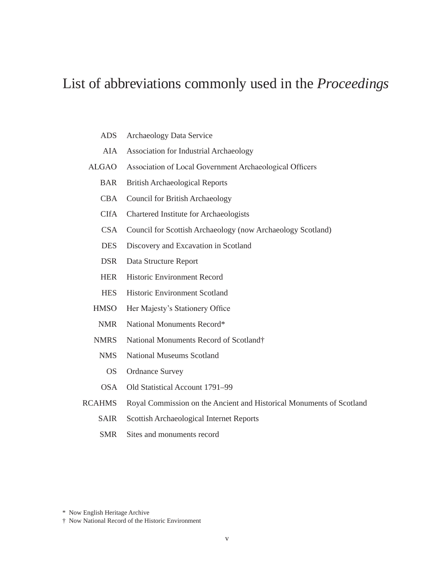## List of abbreviations commonly used in the *Proceedings*

- ADS Archaeology Data Service
- AIA Association for Industrial Archaeology
- ALGAO Association of Local Government Archaeological Officers
	- BAR British Archaeological Reports
	- CBA Council for British Archaeology
	- CIfA Chartered Institute for Archaeologists
	- CSA Council for Scottish Archaeology (now Archaeology Scotland)
	- DES Discovery and Excavation in Scotland
	- DSR Data Structure Report
	- HER Historic Environment Record
	- HES Historic Environment Scotland
	- HMSO Her Majesty's Stationery Office
		- NMR National Monuments Record\*
	- NMRS National Monuments Record of Scotland†
		- NMS National Museums Scotland
			- OS Ordnance Survey
		- OSA Old Statistical Account 1791–99
- RCAHMS Royal Commission on the Ancient and Historical Monuments of Scotland
	- SAIR Scottish Archaeological Internet Reports
	- SMR Sites and monuments record

\* Now English Heritage Archive

<sup>†</sup> Now National Record of the Historic Environment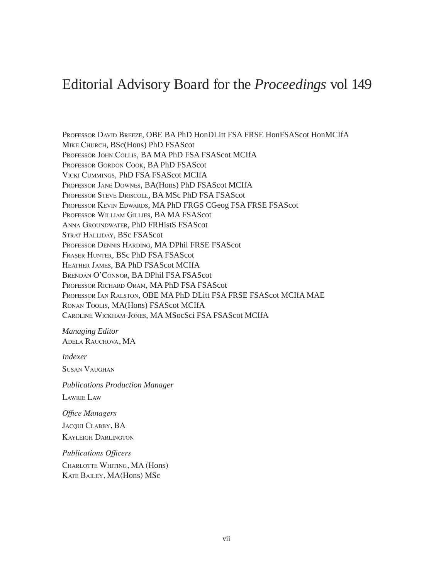## Editorial Advisory Board for the *Proceedings* vol 149

Professor David Breeze, OBE BA PhD HonDLitt FSA FRSE HonFSAScot HonMCIfA Mike Church, BSc(Hons) PhD FSAScot Professor John Collis, BA MA PhD FSA FSAScot MCIfA Professor Gordon Cook, BA PhD FSAScot Vicki Cummings, PhD FSA FSAScot MCIfA Professor Jane Downes, BA(Hons) PhD FSAScot MCIfA Professor Steve Driscoll, BA MSc PhD FSA FSAScot Professor Kevin Edwards, MA PhD FRGS CGeog FSA FRSE FSAScot Professor William Gillies, BA MA FSAScot Anna Groundwater, PhD FRHistS FSAScot Strat Halliday, BSc FSAScot Professor Dennis Harding, MA DPhil FRSE FSAScot Fraser Hunter, BSc PhD FSA FSAScot Heather James, BA PhD FSAScot MCIfA Brendan O'Connor, BA DPhil FSA FSAScot Professor Richard Oram, MA PhD FSA FSAScot Professor Ian Ralston, OBE MA PhD DLitt FSA FRSE FSAScot MCIfA MAE Ronan Toolis, MA(Hons) FSAScot MCIfA Caroline Wickham-Jones, MA MSocSci FSA FSAScot MCIfA

*Managing Editor* Adela Rauchova, MA

*Indexer*

Susan Vaughan

*Publications Production Manager* Lawrie Law

*Office Managers*

Jacqui Clabby, BA Kayleigh Darlington

*Publications Officers* Charlotte Whiting, MA (Hons) Kate Bailey, MA(Hons) MSc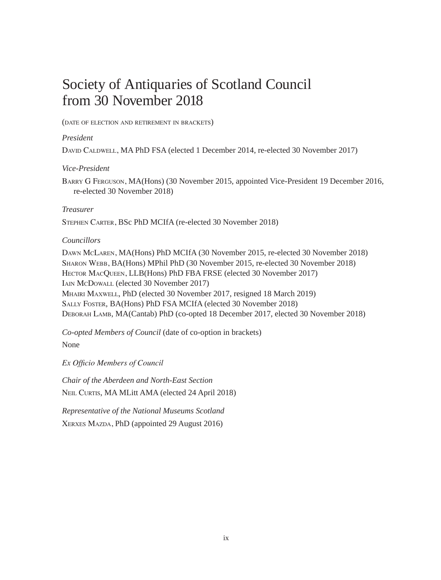# Society of Antiquaries of Scotland Council from 30 November 2018

(date of election and retirement in brackets)

## *President*

DAVID CALDWELL, MA PhD FSA (elected 1 December 2014, re-elected 30 November 2017)

### *Vice-President*

Barry G Ferguson, MA(Hons) (30 November 2015, appointed Vice-President 19 December 2016, re-elected 30 November 2018)

## *Treasurer*

Stephen Carter, BSc PhD MCIfA (re-elected 30 November 2018)

## *Councillors*

Dawn McLaren, MA(Hons) PhD MCIfA (30 November 2015, re-elected 30 November 2018) Sharon Webb, BA(Hons) MPhil PhD (30 November 2015, re-elected 30 November 2018) HECTOR MACQUEEN, LLB(Hons) PhD FBA FRSE (elected 30 November 2017) Iain McDowall (elected 30 November 2017) Mhairi Maxwell, PhD (elected 30 November 2017, resigned 18 March 2019) Sally Foster, BA(Hons) PhD FSA MCIfA (elected 30 November 2018) Deborah Lamb, MA(Cantab) PhD (co-opted 18 December 2017, elected 30 November 2018)

*Co-opted Members of Council* (date of co-option in brackets)

None

*Ex Officio Members of Council*

*Chair of the Aberdeen and North-East Section* NEIL CURTIS, MA MLitt AMA (elected 24 April 2018)

*Representative of the National Museums Scotland* XERXES MAZDA, PhD (appointed 29 August 2016)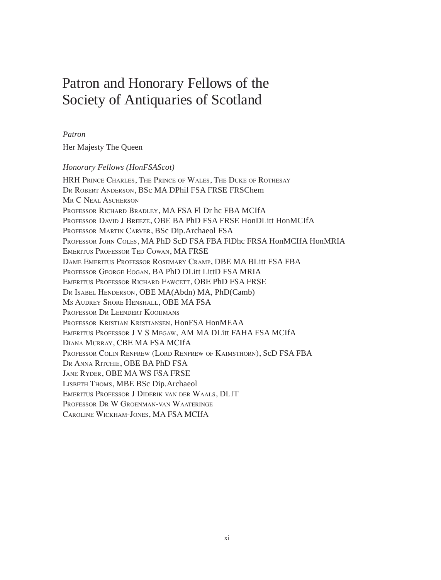# Patron and Honorary Fellows of the Society of Antiquaries of Scotland

#### *Patron*

Her Majesty The Queen

#### *Honorary Fellows (HonFSAScot)*

HRH Prince Charles, The Prince of Wales, The Duke of Rothesay Dr Robert Anderson, BSc MA DPhil FSA FRSE FRSChem MR C NEAL ASCHERSON Professor Richard Bradley, MA FSA Fl Dr hc FBA MCIfA Professor David J Breeze, OBE BA PhD FSA FRSE HonDLitt HonMCIfA Professor Martin Carver, BSc Dip.Archaeol FSA Professor John Coles, MA PhD ScD FSA FBA FlDhc FRSA HonMCIfA HonMRIA Emeritus Professor Ted Cowan, MA FRSE Dame Emeritus Professor Rosemary Cramp, DBE MA BLitt FSA FBA Professor George Eogan, BA PhD DLitt LittD FSA MRIA Emeritus Professor Richard Fawcett, OBE PhD FSA FRSE Dr Isabel Henderson, OBE MA(Abdn) MA, PhD(Camb) Ms Audrey Shore Henshall, OBE MA FSA Professor Dr Leendert Kooijmans Professor Kristian Kristiansen, HonFSA HonMEAA Emeritus Professor J V S Megaw, AM MA DLitt FAHA FSA MCIfA Diana Murray, CBE MA FSA MCIfA Professor Colin Renfrew (Lord Renfrew of Kaimsthorn), ScD FSA FBA Dr Anna Ritchie, OBE BA PhD FSA Jane Ryder, OBE MA WS FSA FRSE LISBETH THOMS, MBE BSc Dip.Archaeol Emeritus Professor J Diderik van der Waals, DLIT Professor Dr W Groenman-van Waateringe Caroline Wickham-Jones, MA FSA MCIfA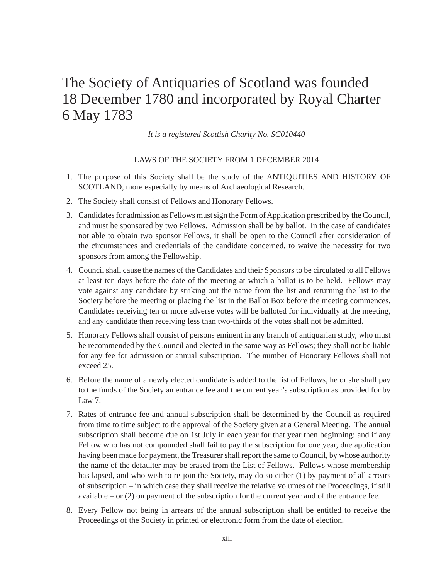# The Society of Antiquaries of Scotland was founded 18 December 1780 and incorporated by Royal Charter 6 May 1783

*It is a registered Scottish Charity No. SC010440*

#### LAWS OF THE SOCIETY FROM 1 DECEMBER 2014

- 1. The purpose of this Society shall be the study of the ANTIQUITIES AND HISTORY OF SCOTLAND, more especially by means of Archaeological Research.
- 2. The Society shall consist of Fellows and Honorary Fellows.
- 3. Candidates for admission as Fellows must sign the Form of Application prescribed by the Council, and must be sponsored by two Fellows. Admission shall be by ballot. In the case of candidates not able to obtain two sponsor Fellows, it shall be open to the Council after consideration of the circumstances and credentials of the candidate concerned, to waive the necessity for two sponsors from among the Fellowship.
- 4. Council shall cause the names of the Candidates and their Sponsors to be circulated to all Fellows at least ten days before the date of the meeting at which a ballot is to be held. Fellows may vote against any candidate by striking out the name from the list and returning the list to the Society before the meeting or placing the list in the Ballot Box before the meeting commences. Candidates receiving ten or more adverse votes will be balloted for individually at the meeting, and any candidate then receiving less than two-thirds of the votes shall not be admitted.
- 5. Honorary Fellows shall consist of persons eminent in any branch of antiquarian study, who must be recommended by the Council and elected in the same way as Fellows; they shall not be liable for any fee for admission or annual subscription. The number of Honorary Fellows shall not exceed 25.
- 6. Before the name of a newly elected candidate is added to the list of Fellows, he or she shall pay to the funds of the Society an entrance fee and the current year's subscription as provided for by Law  $7$
- 7. Rates of entrance fee and annual subscription shall be determined by the Council as required from time to time subject to the approval of the Society given at a General Meeting. The annual subscription shall become due on 1st July in each year for that year then beginning; and if any Fellow who has not compounded shall fail to pay the subscription for one year, due application having been made for payment, the Treasurer shall report the same to Council, by whose authority the name of the defaulter may be erased from the List of Fellows. Fellows whose membership has lapsed, and who wish to re-join the Society, may do so either (1) by payment of all arrears of subscription – in which case they shall receive the relative volumes of the Proceedings, if still available – or (2) on payment of the subscription for the current year and of the entrance fee.
- 8. Every Fellow not being in arrears of the annual subscription shall be entitled to receive the Proceedings of the Society in printed or electronic form from the date of election.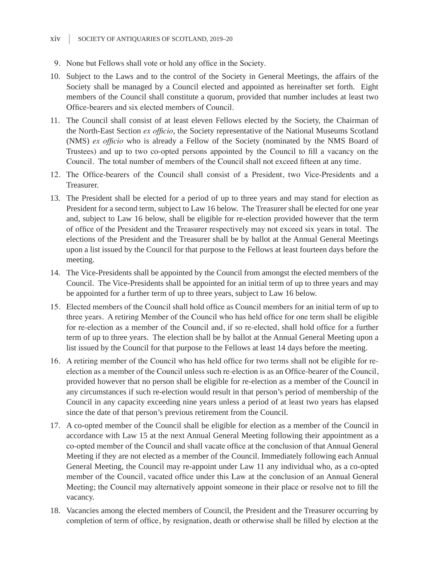- 9. None but Fellows shall vote or hold any office in the Society.
- 10. Subject to the Laws and to the control of the Society in General Meetings, the affairs of the Society shall be managed by a Council elected and appointed as hereinafter set forth. Eight members of the Council shall constitute a quorum, provided that number includes at least two Office-bearers and six elected members of Council.
- 11. The Council shall consist of at least eleven Fellows elected by the Society, the Chairman of the North-East Section *ex officio*, the Society representative of the National Museums Scotland (NMS) *ex officio* who is already a Fellow of the Society (nominated by the NMS Board of Trustees) and up to two co-opted persons appointed by the Council to fill a vacancy on the Council. The total number of members of the Council shall not exceed fifteen at any time.
- 12. The Office-bearers of the Council shall consist of a President, two Vice-Presidents and a Treasurer.
- 13. The President shall be elected for a period of up to three years and may stand for election as President for a second term, subject to Law 16 below. The Treasurer shall be elected for one year and, subject to Law 16 below, shall be eligible for re-election provided however that the term of office of the President and the Treasurer respectively may not exceed six years in total. The elections of the President and the Treasurer shall be by ballot at the Annual General Meetings upon a list issued by the Council for that purpose to the Fellows at least fourteen days before the meeting.
- 14. The Vice-Presidents shall be appointed by the Council from amongst the elected members of the Council. The Vice-Presidents shall be appointed for an initial term of up to three years and may be appointed for a further term of up to three years, subject to Law 16 below.
- 15. Elected members of the Council shall hold office as Council members for an initial term of up to three years. A retiring Member of the Council who has held office for one term shall be eligible for re-election as a member of the Council and, if so re-elected, shall hold office for a further term of up to three years. The election shall be by ballot at the Annual General Meeting upon a list issued by the Council for that purpose to the Fellows at least 14 days before the meeting.
- 16. A retiring member of the Council who has held office for two terms shall not be eligible for reelection as a member of the Council unless such re-election is as an Office-bearer of the Council, provided however that no person shall be eligible for re-election as a member of the Council in any circumstances if such re-election would result in that person's period of membership of the Council in any capacity exceeding nine years unless a period of at least two years has elapsed since the date of that person's previous retirement from the Council.
- 17. A co-opted member of the Council shall be eligible for election as a member of the Council in accordance with Law 15 at the next Annual General Meeting following their appointment as a co-opted member of the Council and shall vacate office at the conclusion of that Annual General Meeting if they are not elected as a member of the Council. Immediately following each Annual General Meeting, the Council may re-appoint under Law 11 any individual who, as a co-opted member of the Council, vacated office under this Law at the conclusion of an Annual General Meeting; the Council may alternatively appoint someone in their place or resolve not to fill the vacancy.
- 18. Vacancies among the elected members of Council, the President and the Treasurer occurring by completion of term of office, by resignation, death or otherwise shall be filled by election at the